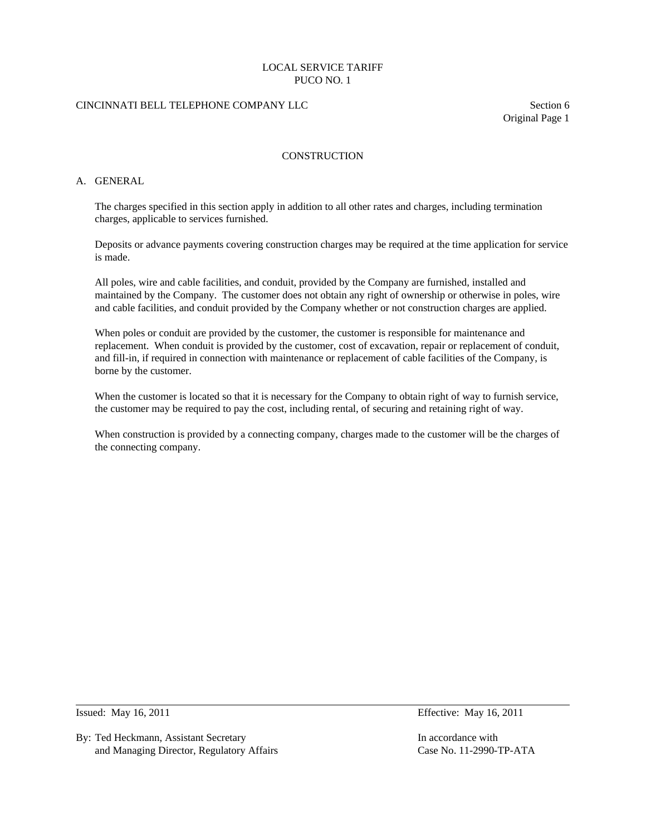# CINCINNATI BELL TELEPHONE COMPANY LLC Section 6

Original Page 1

## **CONSTRUCTION**

#### A. GENERAL

 The charges specified in this section apply in addition to all other rates and charges, including termination charges, applicable to services furnished.

 Deposits or advance payments covering construction charges may be required at the time application for service is made.

 All poles, wire and cable facilities, and conduit, provided by the Company are furnished, installed and maintained by the Company. The customer does not obtain any right of ownership or otherwise in poles, wire and cable facilities, and conduit provided by the Company whether or not construction charges are applied.

 When poles or conduit are provided by the customer, the customer is responsible for maintenance and replacement. When conduit is provided by the customer, cost of excavation, repair or replacement of conduit, and fill-in, if required in connection with maintenance or replacement of cable facilities of the Company, is borne by the customer.

 When the customer is located so that it is necessary for the Company to obtain right of way to furnish service, the customer may be required to pay the cost, including rental, of securing and retaining right of way.

 When construction is provided by a connecting company, charges made to the customer will be the charges of the connecting company.

 $\overline{a}$ 

By: Ted Heckmann, Assistant Secretary In accordance with and Managing Director, Regulatory Affairs Case No. 11-2990-TP-ATA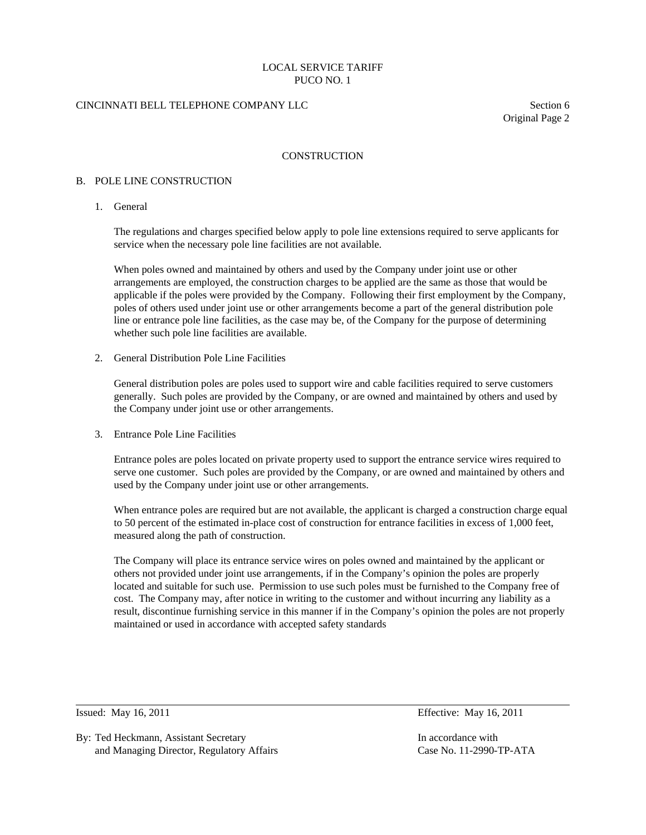# CINCINNATI BELL TELEPHONE COMPANY LLC Section 6

Original Page 2

### **CONSTRUCTION**

#### B. POLE LINE CONSTRUCTION

1. General

 The regulations and charges specified below apply to pole line extensions required to serve applicants for service when the necessary pole line facilities are not available.

 When poles owned and maintained by others and used by the Company under joint use or other arrangements are employed, the construction charges to be applied are the same as those that would be applicable if the poles were provided by the Company. Following their first employment by the Company, poles of others used under joint use or other arrangements become a part of the general distribution pole line or entrance pole line facilities, as the case may be, of the Company for the purpose of determining whether such pole line facilities are available.

2. General Distribution Pole Line Facilities

 General distribution poles are poles used to support wire and cable facilities required to serve customers generally. Such poles are provided by the Company, or are owned and maintained by others and used by the Company under joint use or other arrangements.

3. Entrance Pole Line Facilities

 Entrance poles are poles located on private property used to support the entrance service wires required to serve one customer. Such poles are provided by the Company, or are owned and maintained by others and used by the Company under joint use or other arrangements.

 When entrance poles are required but are not available, the applicant is charged a construction charge equal to 50 percent of the estimated in-place cost of construction for entrance facilities in excess of 1,000 feet, measured along the path of construction.

 The Company will place its entrance service wires on poles owned and maintained by the applicant or others not provided under joint use arrangements, if in the Company's opinion the poles are properly located and suitable for such use. Permission to use such poles must be furnished to the Company free of cost. The Company may, after notice in writing to the customer and without incurring any liability as a result, discontinue furnishing service in this manner if in the Company's opinion the poles are not properly maintained or used in accordance with accepted safety standards

 $\overline{a}$ 

Issued: May 16, 2011 Effective: May 16, 2011

By: Ted Heckmann, Assistant Secretary **In accordance with** In accordance with and Managing Director, Regulatory Affairs Case No. 11-2990-TP-ATA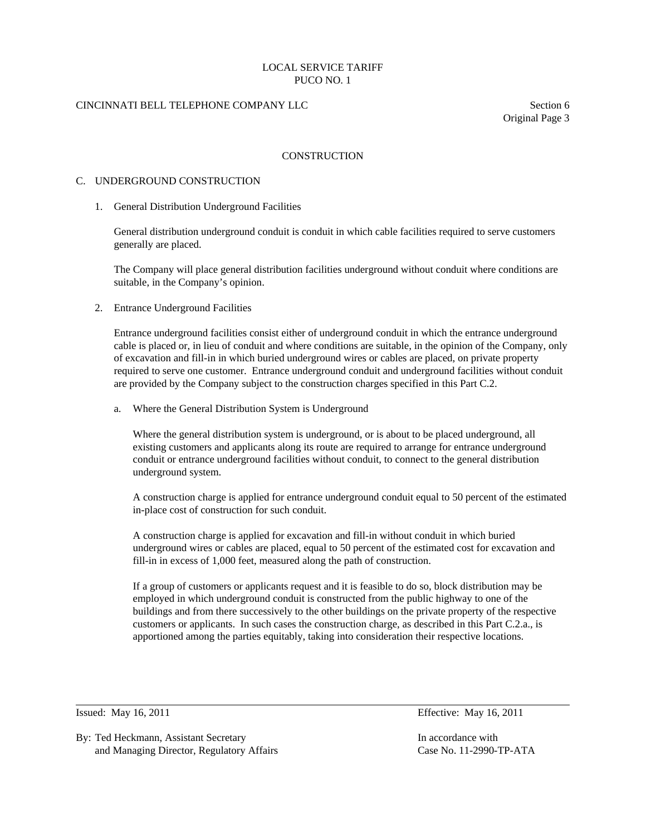# CINCINNATI BELL TELEPHONE COMPANY LLC Section 6

Original Page 3

### **CONSTRUCTION**

#### C. UNDERGROUND CONSTRUCTION

1. General Distribution Underground Facilities

 General distribution underground conduit is conduit in which cable facilities required to serve customers generally are placed.

 The Company will place general distribution facilities underground without conduit where conditions are suitable, in the Company's opinion.

2. Entrance Underground Facilities

 Entrance underground facilities consist either of underground conduit in which the entrance underground cable is placed or, in lieu of conduit and where conditions are suitable, in the opinion of the Company, only of excavation and fill-in in which buried underground wires or cables are placed, on private property required to serve one customer. Entrance underground conduit and underground facilities without conduit are provided by the Company subject to the construction charges specified in this Part C.2.

a. Where the General Distribution System is Underground

 Where the general distribution system is underground, or is about to be placed underground, all existing customers and applicants along its route are required to arrange for entrance underground conduit or entrance underground facilities without conduit, to connect to the general distribution underground system.

 A construction charge is applied for entrance underground conduit equal to 50 percent of the estimated in-place cost of construction for such conduit.

 A construction charge is applied for excavation and fill-in without conduit in which buried underground wires or cables are placed, equal to 50 percent of the estimated cost for excavation and fill-in in excess of 1,000 feet, measured along the path of construction.

 If a group of customers or applicants request and it is feasible to do so, block distribution may be employed in which underground conduit is constructed from the public highway to one of the buildings and from there successively to the other buildings on the private property of the respective customers or applicants. In such cases the construction charge, as described in this Part C.2.a., is apportioned among the parties equitably, taking into consideration their respective locations.

 $\overline{a}$ 

Issued: May 16, 2011 Effective: May 16, 2011

By: Ted Heckmann, Assistant Secretary In accordance with and Managing Director, Regulatory Affairs Case No. 11-2990-TP-ATA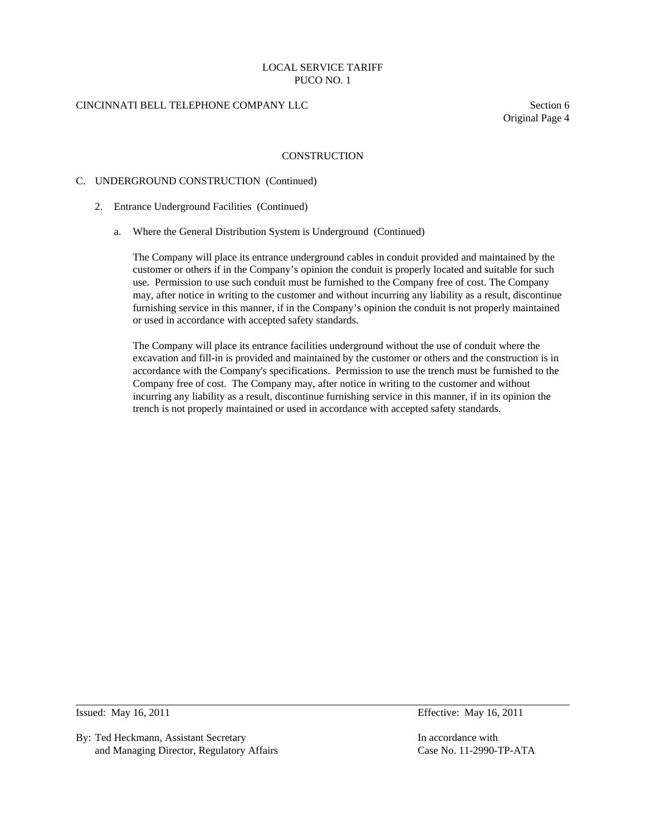# CINCINNATI BELL TELEPHONE COMPANY LLC Section 6

Original Page 4

### **CONSTRUCTION**

#### C. UNDERGROUND CONSTRUCTION (Continued)

- 2. Entrance Underground Facilities (Continued)
	- a. Where the General Distribution System is Underground (Continued)

 The Company will place its entrance underground cables in conduit provided and maintained by the customer or others if in the Company's opinion the conduit is properly located and suitable for such use. Permission to use such conduit must be furnished to the Company free of cost. The Company may, after notice in writing to the customer and without incurring any liability as a result, discontinue furnishing service in this manner, if in the Company's opinion the conduit is not properly maintained or used in accordance with accepted safety standards.

 The Company will place its entrance facilities underground without the use of conduit where the excavation and fill-in is provided and maintained by the customer or others and the construction is in accordance with the Company's specifications. Permission to use the trench must be furnished to the Company free of cost. The Company may, after notice in writing to the customer and without incurring any liability as a result, discontinue furnishing service in this manner, if in its opinion the trench is not properly maintained or used in accordance with accepted safety standards.

 $\overline{a}$ 

By: Ted Heckmann, Assistant Secretary In accordance with and Managing Director, Regulatory Affairs Case No. 11-2990-TP-ATA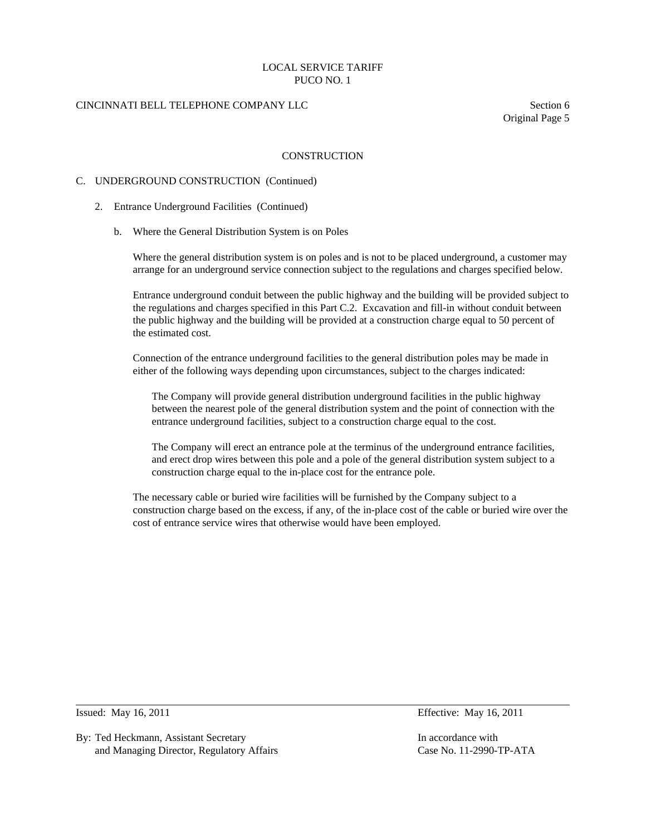# CINCINNATI BELL TELEPHONE COMPANY LLC Section 6

Original Page 5

#### **CONSTRUCTION**

#### C. UNDERGROUND CONSTRUCTION (Continued)

- 2. Entrance Underground Facilities (Continued)
	- b. Where the General Distribution System is on Poles

 Where the general distribution system is on poles and is not to be placed underground, a customer may arrange for an underground service connection subject to the regulations and charges specified below.

 Entrance underground conduit between the public highway and the building will be provided subject to the regulations and charges specified in this Part C.2. Excavation and fill-in without conduit between the public highway and the building will be provided at a construction charge equal to 50 percent of the estimated cost.

 Connection of the entrance underground facilities to the general distribution poles may be made in either of the following ways depending upon circumstances, subject to the charges indicated:

 The Company will provide general distribution underground facilities in the public highway between the nearest pole of the general distribution system and the point of connection with the entrance underground facilities, subject to a construction charge equal to the cost.

 The Company will erect an entrance pole at the terminus of the underground entrance facilities, and erect drop wires between this pole and a pole of the general distribution system subject to a construction charge equal to the in-place cost for the entrance pole.

 The necessary cable or buried wire facilities will be furnished by the Company subject to a construction charge based on the excess, if any, of the in-place cost of the cable or buried wire over the cost of entrance service wires that otherwise would have been employed.

 $\overline{a}$ 

By: Ted Heckmann, Assistant Secretary **In accordance with** In accordance with and Managing Director, Regulatory Affairs Case No. 11-2990-TP-ATA